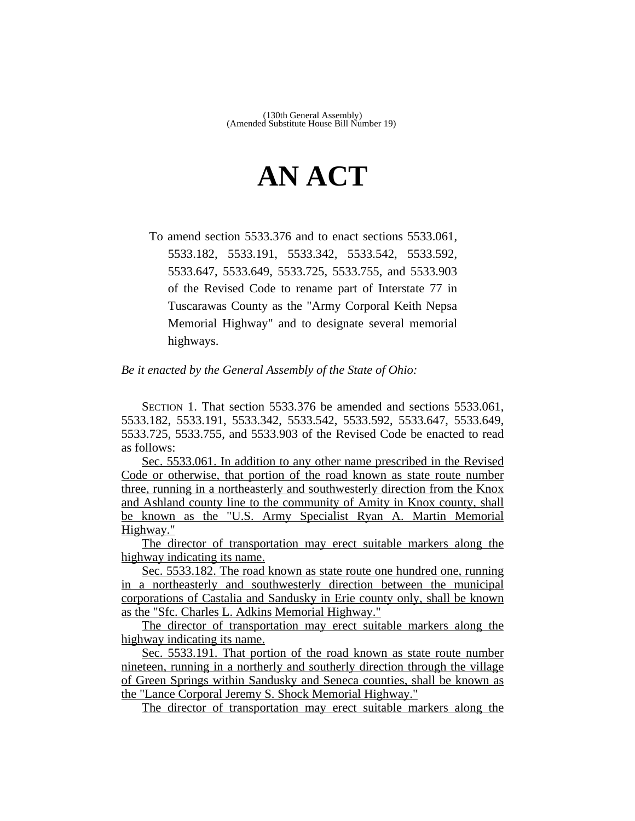## **AN ACT**

To amend section 5533.376 and to enact sections 5533.061, 5533.182, 5533.191, 5533.342, 5533.542, 5533.592, 5533.647, 5533.649, 5533.725, 5533.755, and 5533.903 of the Revised Code to rename part of Interstate 77 in Tuscarawas County as the "Army Corporal Keith Nepsa Memorial Highway" and to designate several memorial highways.

*Be it enacted by the General Assembly of the State of Ohio:*

SECTION 1. That section 5533.376 be amended and sections 5533.061, 5533.182, 5533.191, 5533.342, 5533.542, 5533.592, 5533.647, 5533.649, 5533.725, 5533.755, and 5533.903 of the Revised Code be enacted to read as follows:

Sec. 5533.061. In addition to any other name prescribed in the Revised Code or otherwise, that portion of the road known as state route number three, running in a northeasterly and southwesterly direction from the Knox and Ashland county line to the community of Amity in Knox county, shall be known as the "U.S. Army Specialist Ryan A. Martin Memorial Highway."

The director of transportation may erect suitable markers along the highway indicating its name.

Sec. 5533.182. The road known as state route one hundred one, running in a northeasterly and southwesterly direction between the municipal corporations of Castalia and Sandusky in Erie county only, shall be known as the "Sfc. Charles L. Adkins Memorial Highway."

The director of transportation may erect suitable markers along the highway indicating its name.

Sec. 5533.191. That portion of the road known as state route number nineteen, running in a northerly and southerly direction through the village of Green Springs within Sandusky and Seneca counties, shall be known as the "Lance Corporal Jeremy S. Shock Memorial Highway."

The director of transportation may erect suitable markers along the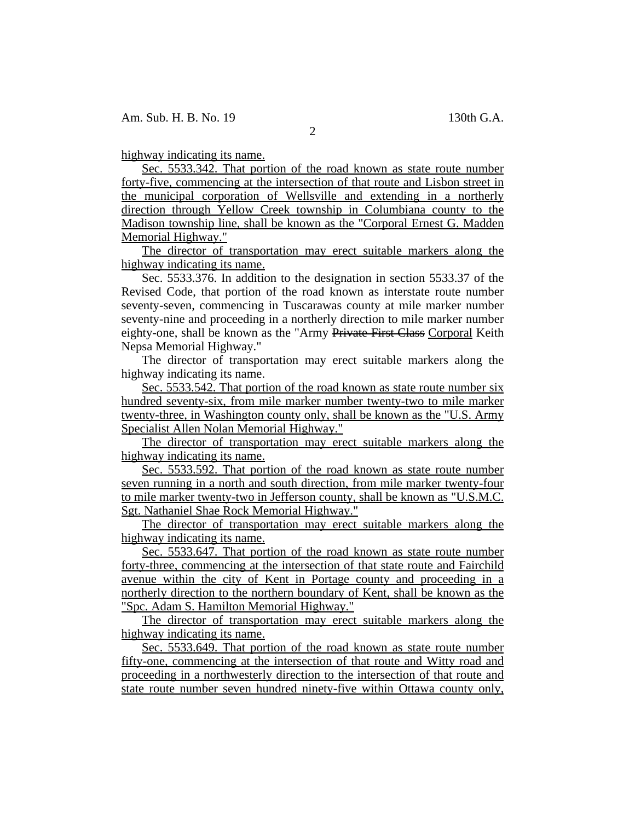highway indicating its name.

Sec. 5533.342. That portion of the road known as state route number forty-five, commencing at the intersection of that route and Lisbon street in the municipal corporation of Wellsville and extending in a northerly direction through Yellow Creek township in Columbiana county to the Madison township line, shall be known as the "Corporal Ernest G. Madden Memorial Highway."

The director of transportation may erect suitable markers along the highway indicating its name.

Sec. 5533.376. In addition to the designation in section 5533.37 of the Revised Code, that portion of the road known as interstate route number seventy-seven, commencing in Tuscarawas county at mile marker number seventy-nine and proceeding in a northerly direction to mile marker number eighty-one, shall be known as the "Army Private First Class Corporal Keith Nepsa Memorial Highway."

The director of transportation may erect suitable markers along the highway indicating its name.

Sec. 5533.542. That portion of the road known as state route number six hundred seventy-six, from mile marker number twenty-two to mile marker twenty-three, in Washington county only, shall be known as the "U.S. Army Specialist Allen Nolan Memorial Highway."

The director of transportation may erect suitable markers along the highway indicating its name.

Sec. 5533.592. That portion of the road known as state route number seven running in a north and south direction, from mile marker twenty-four to mile marker twenty-two in Jefferson county, shall be known as "U.S.M.C. Sgt. Nathaniel Shae Rock Memorial Highway."

The director of transportation may erect suitable markers along the highway indicating its name.

Sec. 5533.647. That portion of the road known as state route number forty-three, commencing at the intersection of that state route and Fairchild avenue within the city of Kent in Portage county and proceeding in a northerly direction to the northern boundary of Kent, shall be known as the "Spc. Adam S. Hamilton Memorial Highway."

The director of transportation may erect suitable markers along the highway indicating its name.

Sec. 5533.649. That portion of the road known as state route number fifty-one, commencing at the intersection of that route and Witty road and proceeding in a northwesterly direction to the intersection of that route and state route number seven hundred ninety-five within Ottawa county only,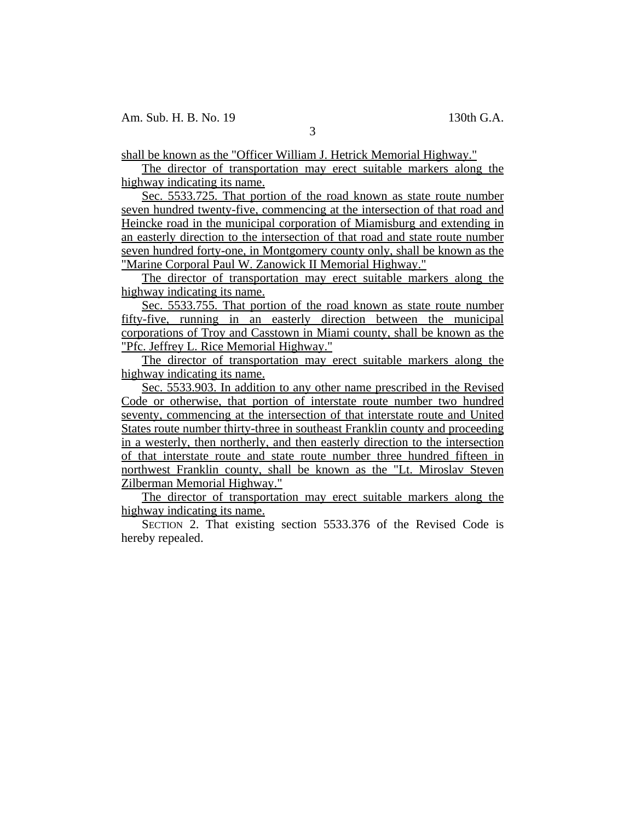3

shall be known as the "Officer William J. Hetrick Memorial Highway."

The director of transportation may erect suitable markers along the highway indicating its name.

Sec. 5533.725. That portion of the road known as state route number seven hundred twenty-five, commencing at the intersection of that road and Heincke road in the municipal corporation of Miamisburg and extending in an easterly direction to the intersection of that road and state route number seven hundred forty-one, in Montgomery county only, shall be known as the "Marine Corporal Paul W. Zanowick II Memorial Highway."

The director of transportation may erect suitable markers along the highway indicating its name.

Sec. 5533.755. That portion of the road known as state route number fifty-five, running in an easterly direction between the municipal corporations of Troy and Casstown in Miami county, shall be known as the "Pfc. Jeffrey L. Rice Memorial Highway."

The director of transportation may erect suitable markers along the highway indicating its name.

Sec. 5533.903. In addition to any other name prescribed in the Revised Code or otherwise, that portion of interstate route number two hundred seventy, commencing at the intersection of that interstate route and United States route number thirty-three in southeast Franklin county and proceeding in a westerly, then northerly, and then easterly direction to the intersection of that interstate route and state route number three hundred fifteen in northwest Franklin county, shall be known as the "Lt. Miroslav Steven Zilberman Memorial Highway."

The director of transportation may erect suitable markers along the highway indicating its name.

SECTION 2. That existing section 5533.376 of the Revised Code is hereby repealed.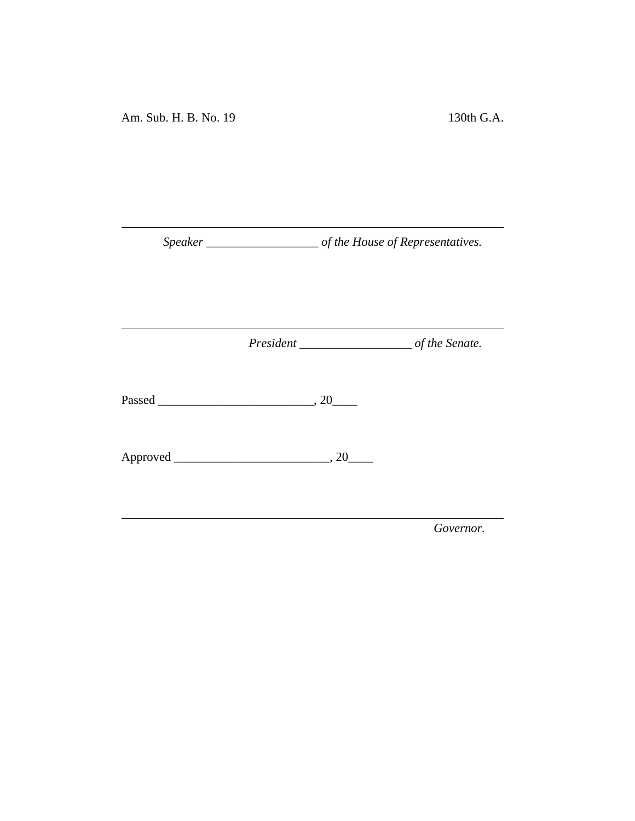*Speaker \_\_\_\_\_\_\_\_\_\_\_\_\_\_\_\_\_\_ of the House of Representatives.*

<u> 1980 - Johann Barn, mars an t-Amerikaansk kommunister (</u>

*President \_\_\_\_\_\_\_\_\_\_\_\_\_\_\_\_\_\_ of the Senate.*

<u> 1989 - Johann Barbara, martxa a</u>

Passed \_\_\_\_\_\_\_\_\_\_\_\_\_\_\_\_\_\_\_\_\_\_\_\_\_, 20\_\_\_\_

Approved \_\_\_\_\_\_\_\_\_\_\_\_\_\_\_\_\_\_\_\_\_\_\_\_\_, 20\_\_\_\_

*Governor.*